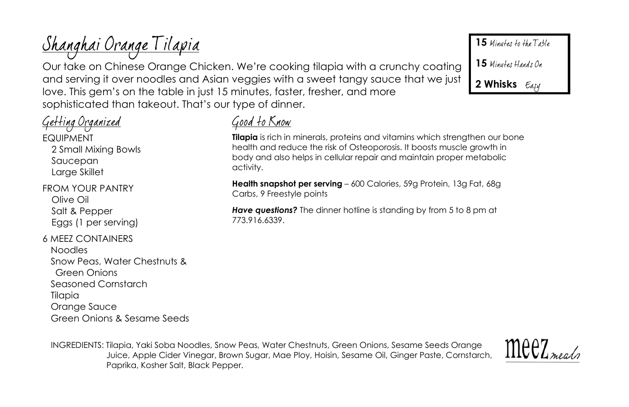<u>Shanghai Orange Tilapia</u>

Our take on Chinese Orange Chicken. We're cooking tilapia with a crunchy coating and serving it over noodles and Asian veggies with a sweet tangy sauce that we just love. This gem's on the table in just 15 minutes, faster, fresher, and more sophisticated than takeout. That's our type of dinner.

# <u>Getting Organized</u> EQUIPMENT 2 Small Mixing Bowls

Saucepan Large Skillet

#### FROM YOUR PANTRY Olive Oil Salt & Pepper Eggs (1 per serving)

6 MEEZ CONTAINERS Noodles Snow Peas, Water Chestnuts & Green Onions Seasoned Cornstarch Tilapia Orange Sauce Green Onions & Sesame Seeds

# Good to Know

**Tilapia** is rich in minerals, proteins and vitamins which strengthen our bone health and reduce the risk of Osteoporosis. It boosts muscle growth in body and also helps in cellular repair and maintain proper metabolic activity.

**Health snapshot per serving** – 600 Calories, 59g Protein, 13g Fat, 68g Carbs, 9 Freestyle points

**Have questions?** The dinner hotline is standing by from 5 to 8 pm at 773.916.6339.

INGREDIENTS: Tilapia, Yaki Soba Noodles, Snow Peas, Water Chestnuts, Green Onions, Sesame Seeds Orange Juice, Apple Cider Vinegar, Brown Sugar, Mae Ploy, Hoisin, Sesame Oil, Ginger Paste, Cornstarch, Paprika, Kosher Salt, Black Pepper.



**15** Minutes to the Table

15 Minutes Hands On

**2 Whisks**